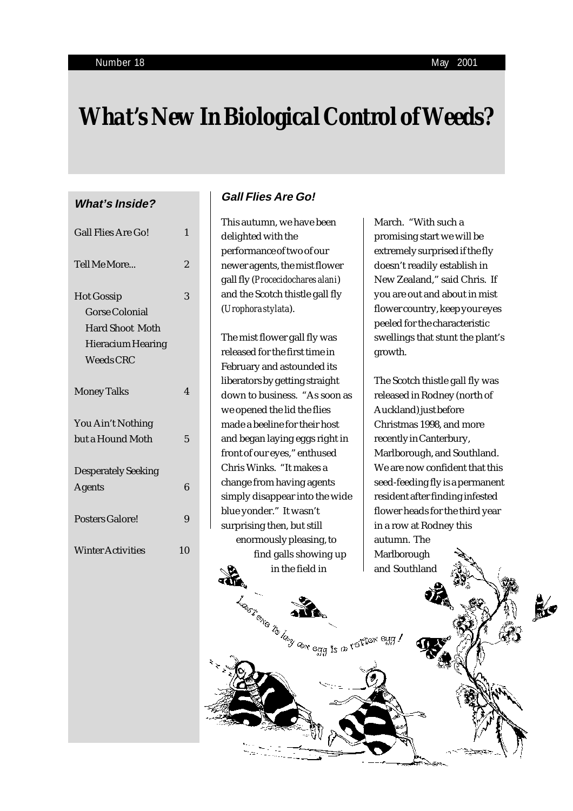# *What's New In Biological Control of Weeds?*

# **What's Inside?**

| <b>Gall Flies Are Go!</b>                                                                                            | 1              |
|----------------------------------------------------------------------------------------------------------------------|----------------|
| Tell Me More                                                                                                         | $\overline{2}$ |
| <b>Hot Gossip</b><br><b>Gorse Colonial</b><br><b>Hard Shoot Moth</b><br><b>Hieracium Hearing</b><br><b>Weeds CRC</b> | 3              |
| <b>Money Talks</b>                                                                                                   | 4              |
| You Ain't Nothing<br>but a Hound Moth                                                                                | 5              |
| <b>Desperately Seeking</b><br><b>Agents</b>                                                                          | 6              |
| <b>Posters Galore!</b>                                                                                               | 9              |
| <b>Winter Activities</b>                                                                                             | 10             |
|                                                                                                                      |                |

# **Gall Flies Are Go!**

This autumn, we have been delighted with the performance of two of our newer agents, the mist flower gall fly (*Procecidochares alani*) and the Scotch thistle gall fly (*Urophora stylata*).

The mist flower gall fly was released for the first time in February and astounded its liberators by getting straight down to business. "As soon as we opened the lid the flies made a beeline for their host and began laying eggs right in front of our eyes," enthused Chris Winks. "It makes a change from having agents simply disappear into the wide blue yonder." It wasn't surprising then, but still enormously pleasing, to find galls showing up in the field in

March. "With such a promising start we will be extremely surprised if the fly doesn't readily establish in New Zealand," said Chris. If you are out and about in mist flower country, keep your eyes peeled for the characteristic swellings that stunt the plant's growth.

The Scotch thistle gall fly was released in Rodney (north of Auckland) just before Christmas 1998, and more recently in Canterbury, Marlborough, and Southland. We are now confident that this seed-feeding fly is a permanent resident after finding infested flower heads for the third year in a row at Rodney this autumn. The Marlborough and Southland

影

Leasy of the large is a reft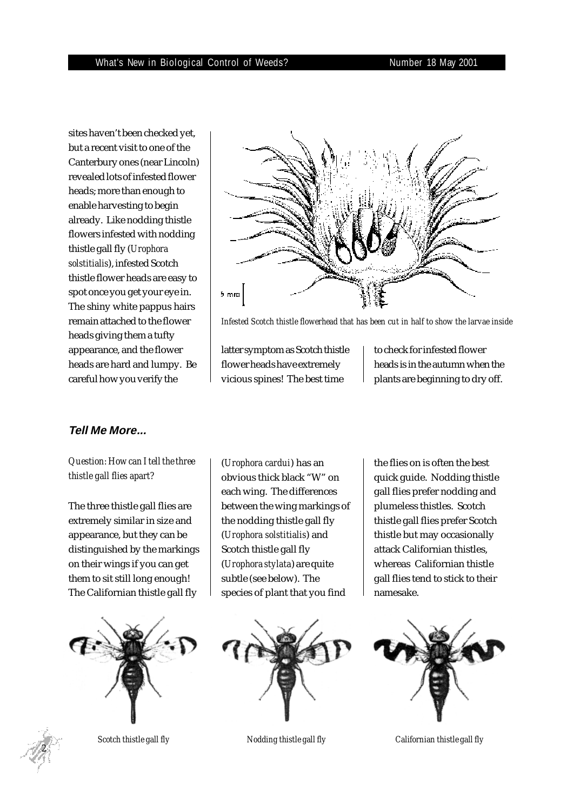sites haven't been checked yet, but a recent visit to one of the Canterbury ones (near Lincoln) revealed lots of infested flower heads; more than enough to enable harvesting to begin already. Like nodding thistle flowers infested with nodding thistle gall fly (*Urophora solstitialis*), infested Scotch thistle flower heads are easy to spot once you get your eye in. The shiny white pappus hairs remain attached to the flower heads giving them a tufty appearance, and the flower heads are hard and lumpy. Be careful how you verify the



*Infested Scotch thistle flowerhead that has been cut in half to show the larvae inside*

latter symptom as Scotch thistle flower heads have extremely vicious spines! The best time

to check for infested flower heads is in the autumn when the plants are beginning to dry off.

# **Tell Me More...**

# *Question: How can I tell the three thistle gall flies apart?*

The three thistle gall flies are extremely similar in size and appearance, but they can be distinguished by the markings on their wings if you can get them to sit still long enough! The Californian thistle gall fly





(*Urophora cardui*) has an obvious thick black "W" on each wing. The differences between the wing markings of the nodding thistle gall fly (*Urophora solstitialis*) and Scotch thistle gall fly (*Urophora stylata*) are quite subtle (see below). The species of plant that you find



the flies on is often the best quick guide. Nodding thistle gall flies prefer nodding and plumeless thistles. Scotch thistle gall flies prefer Scotch thistle but may occasionally attack Californian thistles, whereas Californian thistle gall flies tend to stick to their namesake.



*Scotch thistle gall fly Nodding thistle gall fly Californian thistle gall fly*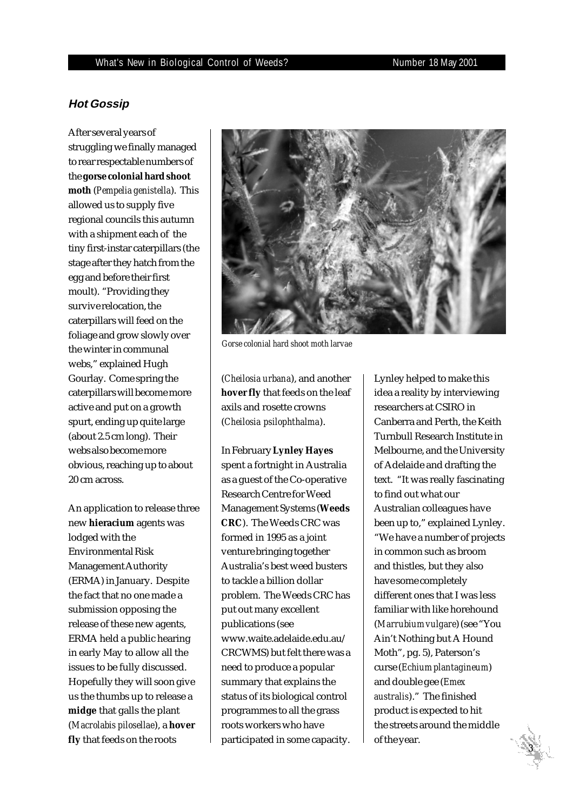# **Hot Gossip**

After several years of struggling we finally managed to rear respectable numbers of the **gorse colonial hard shoot moth** (*Pempelia genistella*). This allowed us to supply five regional councils this autumn with a shipment each of the tiny first-instar caterpillars (the stage after they hatch from the egg and before their first moult). "Providing they survive relocation, the caterpillars will feed on the foliage and grow slowly over the winter in communal webs," explained Hugh Gourlay. Come spring the caterpillars will become more active and put on a growth spurt, ending up quite large (about 2.5 cm long). Their webs also become more obvious, reaching up to about 20 cm across.

An application to release three new **hieracium** agents was lodged with the Environmental Risk Management Authority (ERMA) in January. Despite the fact that no one made a submission opposing the release of these new agents, ERMA held a public hearing in early May to allow all the issues to be fully discussed. Hopefully they will soon give us the thumbs up to release a **midge** that galls the plant (*Macrolabis pilosellae*), a **hover fly** that feeds on the roots



*Gorse colonial hard shoot moth larvae*

(*Cheilosia urbana*), and another **hover fly** that feeds on the leaf axils and rosette crowns (*Cheilosia psilophthalma*).

In February **Lynley Hayes** spent a fortnight in Australia as a guest of the Co-operative Research Centre for Weed Management Systems (**Weeds CRC**). The Weeds CRC was formed in 1995 as a joint venture bringing together Australia's best weed busters to tackle a billion dollar problem. The Weeds CRC has put out many excellent publications (see www.waite.adelaide.edu.au/ CRCWMS) but felt there was a need to produce a popular summary that explains the status of its biological control programmes to all the grass roots workers who have participated in some capacity.

Lynley helped to make this idea a reality by interviewing researchers at CSIRO in Canberra and Perth, the Keith Turnbull Research Institute in Melbourne, and the University of Adelaide and drafting the text. "It was really fascinating to find out what our Australian colleagues have been up to," explained Lynley. "We have a number of projects in common such as broom and thistles, but they also have some completely different ones that I was less familiar with like horehound (*Marrubium vulgare*) (see "You Ain't Nothing but A Hound Moth", pg. 5), Paterson's curse (*Echium plantagineum*) and double gee (*Emex australis*)." The finished product is expected to hit the streets around the middle of the year.

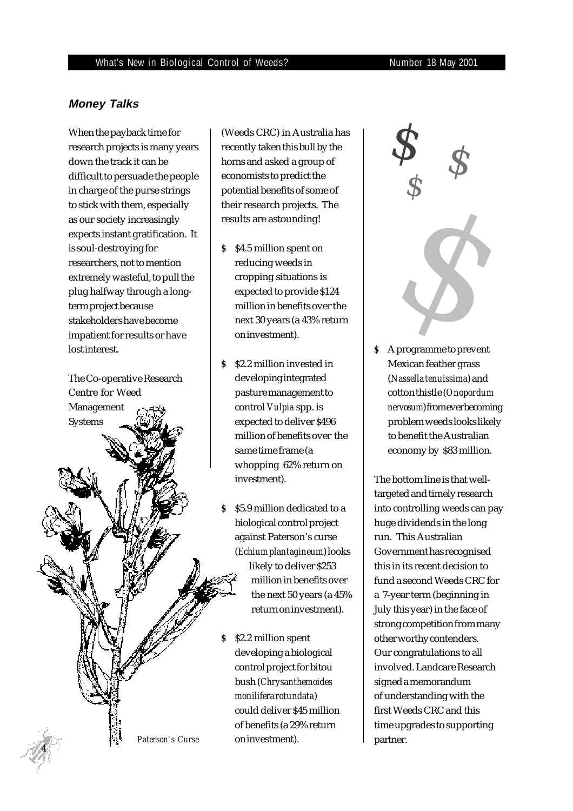# **Money Talks**

When the payback time for research projects is many years down the track it can be difficult to persuade the people in charge of the purse strings to stick with them, especially as our society increasingly expects instant gratification. It is soul-destroying for researchers, not to mention extremely wasteful, to pull the plug halfway through a longterm project because stakeholders have become impatient for results or have lost interest.

The Co-operative Research Centre for Weed Management Systems *Paterson's Curse*

 *4*

(Weeds CRC) in Australia has recently taken this bull by the horns and asked a group of economists to predict the potential benefits of some of their research projects. The results are astounding!

- *\$* \$4.5 million spent on reducing weeds in cropping situations is expected to provide \$124 million in benefits over the next 30 years (a 43% return on investment).
- *\$* \$2.2 million invested in developing integrated pasture management to control *Vulpia* spp. is expected to deliver \$496 million of benefits over the same time frame (a whopping 62% return on investment).
- *\$* \$5.9 million dedicated to a biological control project against Paterson's curse (*Echium plantagineum*) looks likely to deliver \$253 million in benefits over the next 50 years (a 45% return on investment).
- *\$* \$2.2 million spent developing a biological control project for bitou bush (*Chrysanthemoides monilifera rotundata*) could deliver \$45 million of benefits (a 29% return on investment).



*\$* A programme to prevent Mexican feather grass (*Nassella tenuissima*) and cotton thistle (*Onopordum nervosum*) from ever becoming problem weeds looks likely to benefit the Australian economy by \$83 million.

The bottom line is that welltargeted and timely research into controlling weeds can pay huge dividends in the long run. This Australian Government has recognised this in its recent decision to fund a second Weeds CRC for a 7-year term (beginning in July this year) in the face of strong competition from many other worthy contenders. Our congratulations to all involved. Landcare Research signed a memorandum of understanding with the first Weeds CRC and this time upgrades to supporting partner.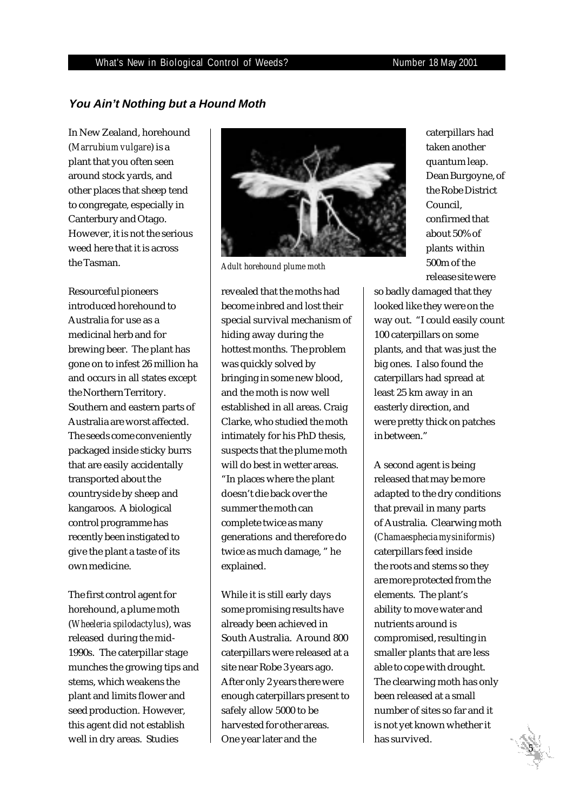### What's New in Biological Control of Weeds? Number 18 May 2001

# **You Ain't Nothing but a Hound Moth**

In New Zealand, horehound (*Marrubium vulgare*) is a plant that you often seen around stock yards, and other places that sheep tend to congregate, especially in Canterbury and Otago. However, it is not the serious weed here that it is across the Tasman.

Resourceful pioneers introduced horehound to Australia for use as a medicinal herb and for brewing beer. The plant has gone on to infest 26 million ha and occurs in all states except the Northern Territory. Southern and eastern parts of Australia are worst affected. The seeds come conveniently packaged inside sticky burrs that are easily accidentally transported about the countryside by sheep and kangaroos. A biological control programme has recently been instigated to give the plant a taste of its own medicine.

The first control agent for horehound, a plume moth (*Wheeleria spilodactylus*), was released during the mid-1990s. The caterpillar stage munches the growing tips and stems, which weakens the plant and limits flower and seed production. However, this agent did not establish well in dry areas. Studies



*Adult horehound plume moth*

revealed that the moths had become inbred and lost their special survival mechanism of hiding away during the hottest months. The problem was quickly solved by bringing in some new blood, and the moth is now well established in all areas. Craig Clarke, who studied the moth intimately for his PhD thesis, suspects that the plume moth will do best in wetter areas. "In places where the plant doesn't die back over the summer the moth can complete twice as many generations and therefore do twice as much damage, " he explained.

While it is still early days some promising results have already been achieved in South Australia. Around 800 caterpillars were released at a site near Robe 3 years ago. After only 2 years there were enough caterpillars present to safely allow 5000 to be harvested for other areas. One year later and the

caterpillars had taken another quantum leap. Dean Burgoyne, of the Robe District Council, confirmed that about 50% of plants within 500m of the release site were

so badly damaged that they looked like they were on the way out. "I could easily count 100 caterpillars on some plants, and that was just the big ones. I also found the caterpillars had spread at least 25 km away in an easterly direction, and were pretty thick on patches in between."

A second agent is being released that may be more adapted to the dry conditions that prevail in many parts of Australia. Clearwing moth (*Chamaesphecia mysiniformis*) caterpillars feed inside the roots and stems so they are more protected from the elements. The plant's ability to move water and nutrients around is compromised, resulting in smaller plants that are less able to cope with drought. The clearwing moth has only been released at a small number of sites so far and it is not yet known whether it has survived.

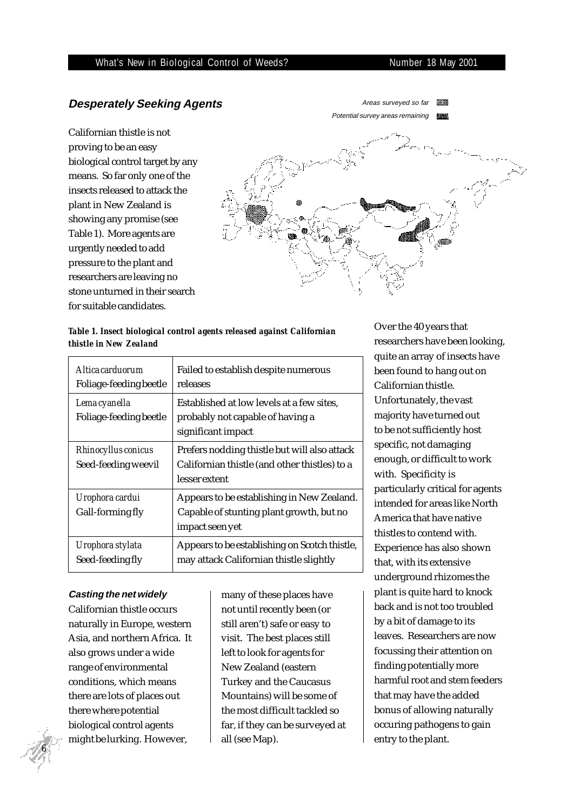#### What's New in Biological Control of Weeds? Number 18 May 2001

# **Desperately Seeking Agents**

Californian thistle is not proving to be an easy biological control target by any means. So far only one of the insects released to attack the plant in New Zealand is showing any promise (see Table 1). More agents are urgently needed to add pressure to the plant and researchers are leaving no stone unturned in their search for suitable candidates.



### *Table 1. Insect biological control agents released against Californian thistle in New Zealand*

| Altica carduorum<br>Foliage-feeding beetle | Failed to establish despite numerous<br>releases                                                               |
|--------------------------------------------|----------------------------------------------------------------------------------------------------------------|
| Lema cyanella<br>Foliage-feeding beetle    | Established at low levels at a few sites.<br>probably not capable of having a<br>significant impact            |
| Rhinocyllus conicus<br>Seed-feeding weevil | Prefers nodding thistle but will also attack<br>Californian thistle (and other thistles) to a<br>lesser extent |
| Urophora cardui<br>Gall-forming fly        | Appears to be establishing in New Zealand.<br>Capable of stunting plant growth, but no<br>impact seen yet      |
| Urophora stylata<br>Seed-feeding fly       | Appears to be establishing on Scotch thistle,<br>may attack Californian thistle slightly                       |

#### **Casting the net widely**

Californian thistle occurs naturally in Europe, western Asia, and northern Africa. It also grows under a wide range of environmental conditions, which means there are lots of places out there where potential biological control agents might be lurking. However,

many of these places have not until recently been (or still aren't) safe or easy to visit. The best places still left to look for agents for New Zealand (eastern Turkey and the Caucasus Mountains) will be some of the most difficult tackled so far, if they can be surveyed at all (see Map).

Over the 40 years that researchers have been looking, quite an array of insects have been found to hang out on Californian thistle. Unfortunately, the vast majority have turned out to be not sufficiently host specific, not damaging enough, or difficult to work with. Specificity is particularly critical for agents intended for areas like North America that have native thistles to contend with. Experience has also shown that, with its extensive underground rhizomes the plant is quite hard to knock back and is not too troubled by a bit of damage to its leaves. Researchers are now focussing their attention on finding potentially more harmful root and stem feeders that may have the added bonus of allowing naturally occuring pathogens to gain entry to the plant.

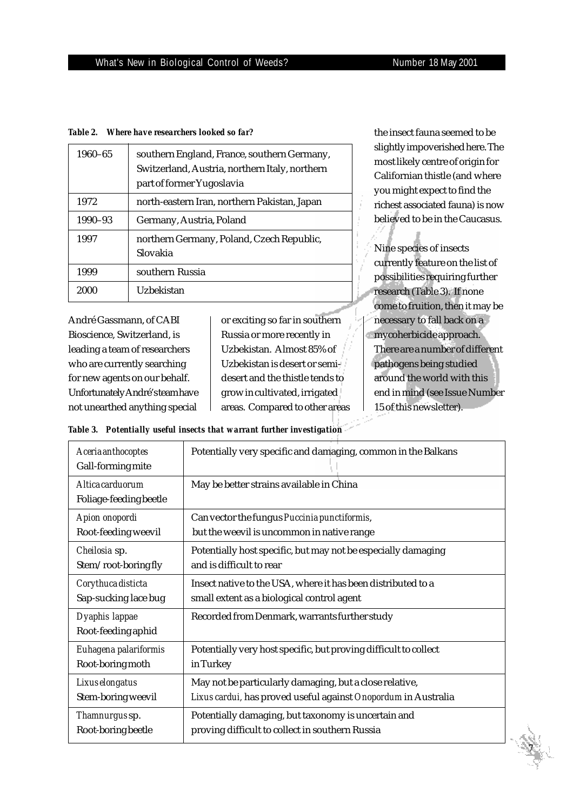*Table 2. Where have researchers looked so far?*

| 1960-65 | southern England, France, southern Germany,<br>Switzerland, Austria, northern Italy, northern<br>part of former Yugoslavia |  |
|---------|----------------------------------------------------------------------------------------------------------------------------|--|
| 1972    | north-eastern Iran, northern Pakistan, Japan                                                                               |  |
| 1990-93 | Germany, Austria, Poland                                                                                                   |  |
| 1997    | northern Germany, Poland, Czech Republic,<br>Slovakia                                                                      |  |
| 1999    | southern Russia                                                                                                            |  |
| 2000    | Uzbekistan                                                                                                                 |  |

André Gassmann, of CABI Bioscience, Switzerland, is leading a team of researchers who are currently searching for new agents on our behalf. Unfortunately André's team have not unearthed anything special

or exciting so far in southern Russia or more recently in Uzbekistan. Almost 85% of Uzbekistan is desert or semidesert and the thistle tends to grow in cultivated, irrigated areas. Compared to other areas

the insect fauna seemed to be slightly impoverished here. The most likely centre of origin for Californian thistle (and where you might expect to find the richest associated fauna) is now believed to be in the Caucasus.

Nine species of insects currently feature on the list of possibilities requiring further research (Table 3). If none come to fruition, then it may be necessary to fall back on a mycoherbicide approach. There are a number of different pathogens being studied around the world with this end in mind (see Issue Number 15 of this newsletter).

 *7*

|  |  | Table 3. Potentially useful insects that warrant further investigation |
|--|--|------------------------------------------------------------------------|
|  |  |                                                                        |

| Aceria anthocoptes<br>Gall-forming mite    | Potentially very specific and damaging, common in the Balkans    |
|--------------------------------------------|------------------------------------------------------------------|
| Altica carduorum<br>Foliage-feeding beetle | May be better strains available in China                         |
| Apion onopordi                             | Can vector the fungus Puccinia punctiformis,                     |
| Root-feeding weevil                        | but the weevil is uncommon in native range                       |
| Cheilosia sp.                              | Potentially host specific, but may not be especially damaging    |
| Stem/root-boringfly                        | and is difficult to rear                                         |
| Corythuca disticta                         | Insect native to the USA, where it has been distributed to a     |
| Sap-sucking lace bug                       | small extent as a biological control agent                       |
| Dyaphis lappae<br>Root-feeding aphid       | Recorded from Denmark, warrants further study                    |
| Euhagena palariformis                      | Potentially very host specific, but proving difficult to collect |
| Root-boring moth                           | in Turkey                                                        |
| Lixus elongatus                            | May not be particularly damaging, but a close relative,          |
| Stem-boring weevil                         | Lixus cardui, has proved useful against Onopordum in Australia   |
| Thamnurgussp.                              | Potentially damaging, but taxonomy is uncertain and              |
| Root-boring beetle                         | proving difficult to collect in southern Russia                  |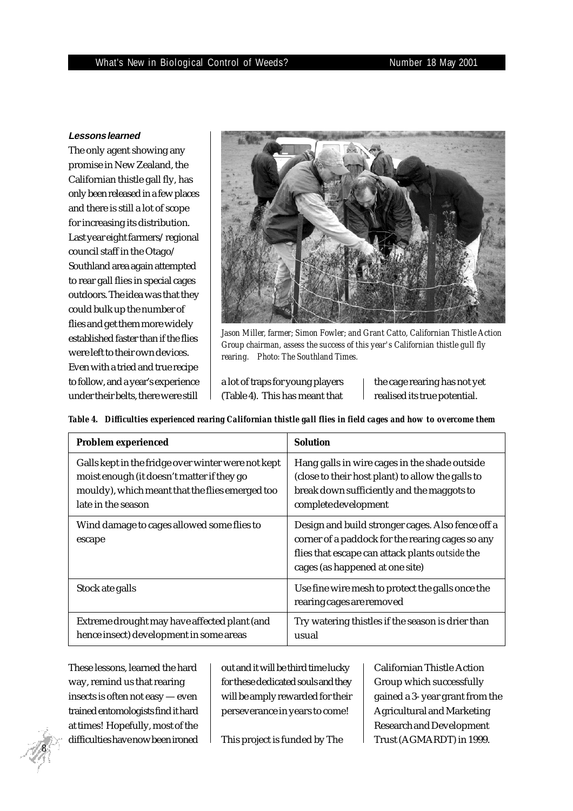#### **Lessons learned**

The only agent showing any promise in New Zealand, the Californian thistle gall fly, has only been released in a few places and there is still a lot of scope for increasing its distribution. Last year eight farmers/regional council staff in the Otago/ Southland area again attempted to rear gall flies in special cages outdoors. The idea was that they could bulk up the number of flies and get them more widely established faster than if the flies were left to their own devices. Even with a tried and true recipe to follow, and a year's experience under their belts, there were still



*Jason Miller, farmer; Simon Fowler; and Grant Catto, Californian Thistle Action Group chairman, assess the success of this year's Californian thistle gull fly rearing. Photo: The Southland Times.*

a lot of traps for young players (Table 4). This has meant that the cage rearing has not yet realised its true potential.

*Table 4. Difficulties experienced rearing Californian thistle gall flies in field cages and how to overcome them*

| Problem experienced                                                                                                                                                       | <b>Solution</b>                                                                                                                                                                             |
|---------------------------------------------------------------------------------------------------------------------------------------------------------------------------|---------------------------------------------------------------------------------------------------------------------------------------------------------------------------------------------|
| Galls kept in the fridge over winter were not kept<br>moist enough (it doesn't matter if they go<br>mouldy), which meant that the flies emerged too<br>late in the season | Hang galls in wire cages in the shade outside<br>(close to their host plant) to allow the galls to<br>break down sufficiently and the maggots to<br>complete development                    |
| Wind damage to cages allowed some flies to<br>escape                                                                                                                      | Design and build stronger cages. Also fence off a<br>corner of a paddock for the rearing cages so any<br>flies that escape can attack plants outside the<br>cages (as happened at one site) |
| Stock ate galls                                                                                                                                                           | Use fine wire mesh to protect the galls once the<br>rearing cages are removed                                                                                                               |
| Extreme drought may have affected plant (and<br>hence insect) development in some areas                                                                                   | Try watering thistles if the season is drier than<br>usual                                                                                                                                  |

These lessons, learned the hard way, remind us that rearing insects is often not easy — even trained entomologists find it hard at times! Hopefully, most of the difficulties have now been ironed

out and it will be third time lucky for these dedicated souls and they will be amply rewarded for their perseverance in years to come!

This project is funded by The

Californian Thistle Action Group which successfully gained a 3- year grant from the Agricultural and Marketing Research and Development Trust (AGMARDT) in 1999.

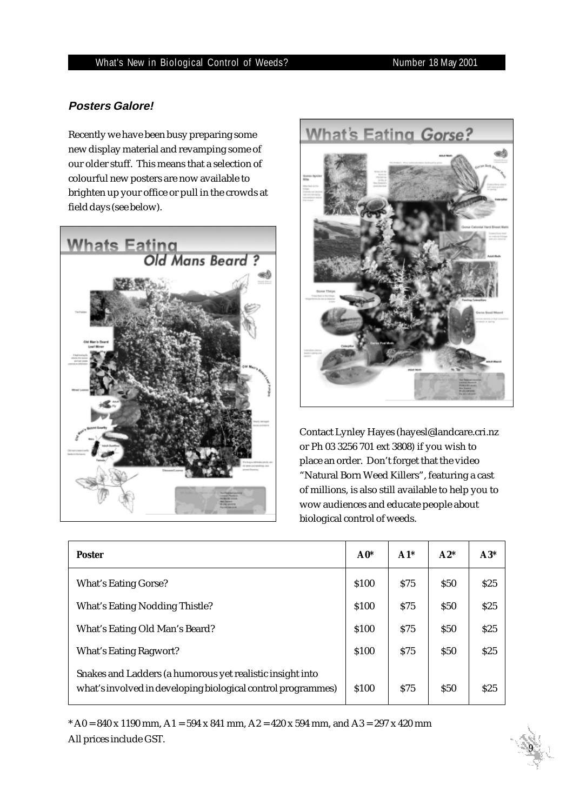# **Posters Galore!**

Recently we have been busy preparing some new display material and revamping some of our older stuff. This means that a selection of colourful new posters are now available to brighten up your office or pull in the crowds at field days (see below).





Contact Lynley Hayes (hayesl@landcare.cri.nz or Ph 03 3256 701 ext 3808) if you wish to place an order. Don't forget that the video "Natural Born Weed Killers", featuring a cast of millions, is also still available to help you to wow audiences and educate people about biological control of weeds.

| <b>Poster</b>                                                                                                             | $A0*$ | $A1*$      | $A2*$      | $A3*$ |
|---------------------------------------------------------------------------------------------------------------------------|-------|------------|------------|-------|
| <b>What's Eating Gorse?</b>                                                                                               | \$100 | <b>S75</b> | <b>S50</b> | \$25  |
| <b>What's Eating Nodding Thistle?</b>                                                                                     | \$100 | \$75       | <b>S50</b> | \$25  |
| What's Eating Old Man's Beard?                                                                                            | \$100 | \$75       | <b>S50</b> | \$25  |
| What's Eating Ragwort?                                                                                                    | \$100 | \$75       | <b>S50</b> | \$25  |
| Snakes and Ladders (a humorous yet realistic insight into<br>what's involved in developing biological control programmes) | \$100 | <b>S75</b> | \$50       | \$25  |

 $*$  A0 = 840 x 1190 mm, A1 = 594 x 841 mm, A2 = 420 x 594 mm, and A3 = 297 x 420 mm All prices include GST.